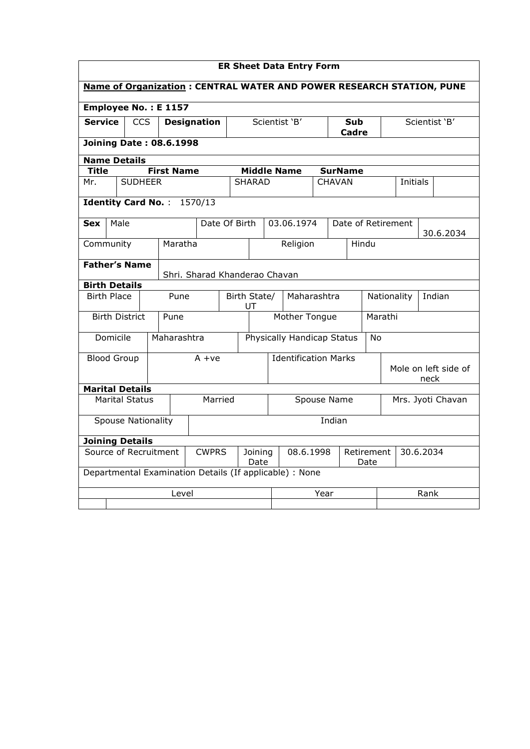| <b>ER Sheet Data Entry Form</b>                                      |                                |                        |  |                            |                                                         |  |                                         |               |                     |                    |                       |  |                    |  |           |
|----------------------------------------------------------------------|--------------------------------|------------------------|--|----------------------------|---------------------------------------------------------|--|-----------------------------------------|---------------|---------------------|--------------------|-----------------------|--|--------------------|--|-----------|
| Name of Organization: CENTRAL WATER AND POWER RESEARCH STATION, PUNE |                                |                        |  |                            |                                                         |  |                                         |               |                     |                    |                       |  |                    |  |           |
| Employee No.: E 1157                                                 |                                |                        |  |                            |                                                         |  |                                         |               |                     |                    |                       |  |                    |  |           |
| <b>Service</b><br><b>CCS</b><br><b>Designation</b>                   |                                |                        |  |                            | Scientist 'B'                                           |  |                                         |               | Sub<br><b>Cadre</b> |                    | Scientist 'B'         |  |                    |  |           |
|                                                                      | <b>Joining Date: 08.6.1998</b> |                        |  |                            |                                                         |  |                                         |               |                     |                    |                       |  |                    |  |           |
|                                                                      |                                | <b>Name Details</b>    |  |                            |                                                         |  |                                         |               |                     |                    |                       |  |                    |  |           |
| <b>Title</b>                                                         |                                |                        |  | <b>First Name</b>          |                                                         |  |                                         |               | <b>Middle Name</b>  |                    | <b>SurName</b>        |  |                    |  |           |
| Mr.                                                                  |                                | <b>SUDHEER</b>         |  |                            |                                                         |  | <b>SHARAD</b>                           |               |                     |                    | <b>CHAVAN</b>         |  | <b>Initials</b>    |  |           |
|                                                                      |                                |                        |  | Identity Card No.: 1570/13 |                                                         |  |                                         |               |                     |                    |                       |  |                    |  |           |
| Sex                                                                  | Male                           |                        |  |                            | Date Of Birth                                           |  |                                         |               | 03.06.1974          |                    |                       |  | Date of Retirement |  | 30.6.2034 |
|                                                                      | Maratha<br>Community           |                        |  |                            |                                                         |  | Religion<br>Hindu                       |               |                     |                    |                       |  |                    |  |           |
|                                                                      |                                | <b>Father's Name</b>   |  |                            | Shri. Sharad Khanderao Chavan                           |  |                                         |               |                     |                    |                       |  |                    |  |           |
| <b>Birth Details</b>                                                 |                                |                        |  |                            |                                                         |  |                                         |               |                     |                    |                       |  |                    |  |           |
|                                                                      | <b>Birth Place</b>             |                        |  | Pune                       |                                                         |  | Maharashtra<br>Birth State/<br>UT       |               |                     |                    | Indian<br>Nationality |  |                    |  |           |
|                                                                      |                                | <b>Birth District</b>  |  | Pune                       |                                                         |  |                                         | Mother Tongue |                     |                    |                       |  | Marathi            |  |           |
|                                                                      | Domicile                       |                        |  | Maharashtra                |                                                         |  | Physically Handicap Status<br><b>No</b> |               |                     |                    |                       |  |                    |  |           |
|                                                                      | <b>Blood Group</b>             |                        |  |                            | $A + ve$                                                |  | <b>Identification Marks</b>             |               |                     |                    | Mole on left side of  |  |                    |  |           |
|                                                                      |                                |                        |  |                            |                                                         |  |                                         |               |                     |                    |                       |  | neck               |  |           |
|                                                                      |                                | <b>Marital Details</b> |  |                            |                                                         |  |                                         |               |                     |                    |                       |  |                    |  |           |
| <b>Marital Status</b><br>Married                                     |                                |                        |  |                            |                                                         |  | Spouse Name<br>Mrs. Jyoti Chavan        |               |                     |                    |                       |  |                    |  |           |
|                                                                      | Spouse Nationality<br>Indian   |                        |  |                            |                                                         |  |                                         |               |                     |                    |                       |  |                    |  |           |
|                                                                      |                                | <b>Joining Details</b> |  |                            |                                                         |  |                                         |               |                     |                    |                       |  |                    |  |           |
| Source of Recruitment<br><b>CWPRS</b><br>Joining<br>Date             |                                |                        |  |                            |                                                         |  | 08.6.1998                               |               |                     | Retirement<br>Date | 30.6.2034             |  |                    |  |           |
|                                                                      |                                |                        |  |                            | Departmental Examination Details (If applicable) : None |  |                                         |               |                     |                    |                       |  |                    |  |           |
|                                                                      |                                |                        |  | Level                      |                                                         |  |                                         |               |                     | Year               |                       |  | Rank               |  |           |
|                                                                      |                                |                        |  |                            |                                                         |  |                                         |               |                     |                    |                       |  |                    |  |           |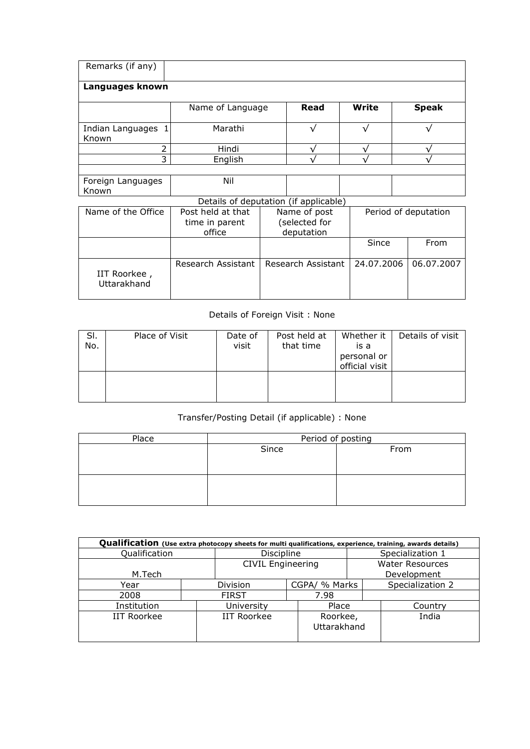| Remarks (if any)            |                                               |  |                                             |            |  |                      |
|-----------------------------|-----------------------------------------------|--|---------------------------------------------|------------|--|----------------------|
| Languages known             |                                               |  |                                             |            |  |                      |
|                             | Name of Language                              |  | Read                                        | Write      |  | <b>Speak</b>         |
| Indian Languages<br>Known   | Marathi                                       |  |                                             | $\sqrt{}$  |  |                      |
| 2                           | Hindi                                         |  |                                             |            |  |                      |
| 3                           | English                                       |  |                                             |            |  |                      |
|                             |                                               |  |                                             |            |  |                      |
| Foreign Languages<br>Known  | Nil                                           |  |                                             |            |  |                      |
|                             | Details of deputation (if applicable)         |  |                                             |            |  |                      |
| Name of the Office          | Post held at that<br>time in parent<br>office |  | Name of post<br>(selected for<br>deputation |            |  | Period of deputation |
|                             |                                               |  |                                             | Since      |  | From                 |
| IIT Roorkee,<br>Uttarakhand | Research Assistant                            |  | Research Assistant                          | 24.07.2006 |  | 06.07.2007           |

## Details of Foreign Visit : None

| SI.<br>No. | Place of Visit | Date of<br>visit | Post held at<br>that time | Whether it<br>is a<br>personal or<br>official visit | Details of visit |
|------------|----------------|------------------|---------------------------|-----------------------------------------------------|------------------|
|            |                |                  |                           |                                                     |                  |

## Transfer/Posting Detail (if applicable) : None

| Place | Period of posting |      |  |  |  |  |
|-------|-------------------|------|--|--|--|--|
|       | Since             | From |  |  |  |  |
|       |                   |      |  |  |  |  |
|       |                   |      |  |  |  |  |
|       |                   |      |  |  |  |  |
|       |                   |      |  |  |  |  |
|       |                   |      |  |  |  |  |

| Qualification (Use extra photocopy sheets for multi qualifications, experience, training, awards details) |  |                          |                         |                        |                  |  |  |  |  |
|-----------------------------------------------------------------------------------------------------------|--|--------------------------|-------------------------|------------------------|------------------|--|--|--|--|
| Qualification                                                                                             |  | Discipline               |                         | Specialization 1       |                  |  |  |  |  |
|                                                                                                           |  | <b>CIVIL Engineering</b> |                         | <b>Water Resources</b> |                  |  |  |  |  |
| M.Tech                                                                                                    |  |                          |                         |                        | Development      |  |  |  |  |
| Year                                                                                                      |  | <b>Division</b>          | CGPA/ % Marks           |                        | Specialization 2 |  |  |  |  |
| 2008                                                                                                      |  |                          | 7.98                    |                        |                  |  |  |  |  |
| Institution                                                                                               |  | University               | Place                   |                        | Country          |  |  |  |  |
| <b>IIT Roorkee</b>                                                                                        |  | <b>IIT Roorkee</b>       | Roorkee,<br>Uttarakhand |                        | India            |  |  |  |  |